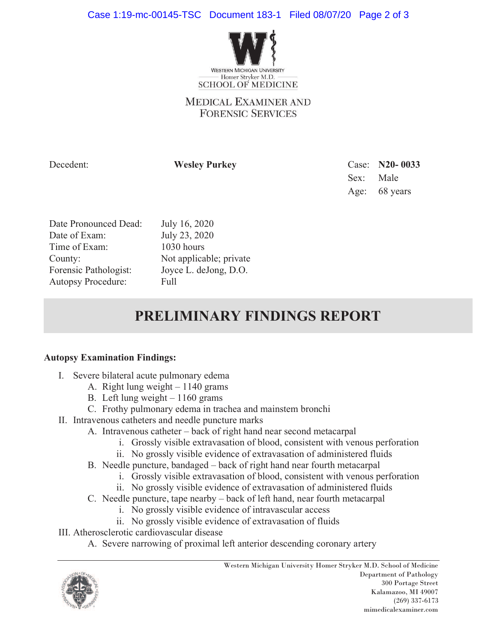

## **MEDICAL EXAMINER AND FORENSIC SERVICES**

Decedent: **Wesley Purkey** Case: **N20- 0033** Sex: Male Age: 68 years

| Date Pronounced Dead:     |
|---------------------------|
| Date of Exam:             |
| Time of Exam:             |
| County:                   |
| Forensic Pathologist:     |
| <b>Autopsy Procedure:</b> |

July 16, 2020 July 23, 2020  $1030$  hours Not applicable; private Joyce L. deJong, D.O. Full

## **PRELIMINARY FINDINGS REPORT**

## **Autopsy Examination Findings:**

- I. Severe bilateral acute pulmonary edema
	- A. Right lung weight  $-1140$  grams
	- B. Left lung weight  $-1160$  grams
	- C. Frothy pulmonary edema in trachea and mainstem bronchi
- II. Intravenous catheters and needle puncture marks
	- A. Intravenous catheter back of right hand near second metacarpal
		- i. Grossly visible extravasation of blood, consistent with venous perforation
		- ii. No grossly visible evidence of extravasation of administered fluids
	- B. Needle puncture, bandaged back of right hand near fourth metacarpal
		- i. Grossly visible extravasation of blood, consistent with venous perforation
		- ii. No grossly visible evidence of extravasation of administered fluids
	- C. Needle puncture, tape nearby back of left hand, near fourth metacarpal
		- i. No grossly visible evidence of intravascular access
		- ii. No grossly visible evidence of extravasation of fluids
- III. Atherosclerotic cardiovascular disease
	- A. Severe narrowing of proximal left anterior descending coronary artery